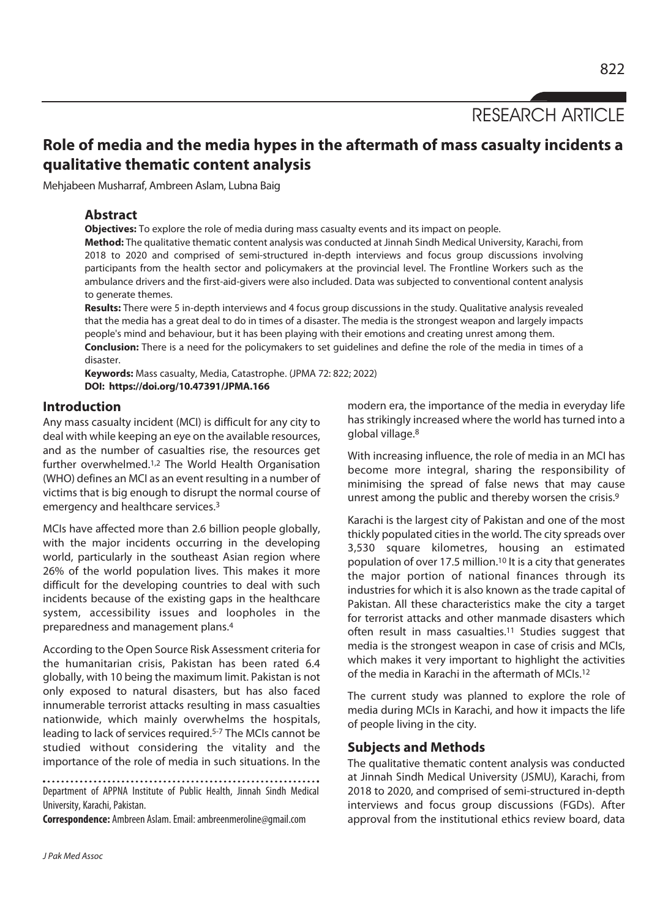RESEARCH ARTICLE

# **Role of media and the media hypes in the aftermath of mass casualty incidents a qualitative thematic content analysis**

Mehjabeen Musharraf, Ambreen Aslam, Lubna Baig

# **Abstract**

**Objectives:** To explore the role of media during mass casualty events and its impact on people.

**Method:** The qualitative thematic content analysis was conducted at Jinnah Sindh Medical University, Karachi, from 2018 to 2020 and comprised of semi-structured in-depth interviews and focus group discussions involving participants from the health sector and policymakers at the provincial level. The Frontline Workers such as the ambulance drivers and the first-aid-givers were also included. Data was subjected to conventional content analysis to generate themes.

**Results:** There were 5 in-depth interviews and 4 focus group discussions in the study. Qualitative analysis revealed that the media has a great deal to do in times of a disaster. The media is the strongest weapon and largely impacts people's mind and behaviour, but it has been playing with their emotions and creating unrest among them. **Conclusion:** There is a need for the policymakers to set guidelines and define the role of the media in times of a disaster.

**Keywords:** Mass casualty, Media, Catastrophe. (JPMA 72: 822; 2022) **DOI: https://doi.org/10.47391/JPMA.166** 

#### **Introduction**

Any mass casualty incident (MCI) is difficult for any city to deal with while keeping an eye on the available resources, and as the number of casualties rise, the resources get further overwhelmed.1,2 The World Health Organisation (WHO) defines an MCI as an event resulting in a number of victims that is big enough to disrupt the normal course of emergency and healthcare services.3

MCIs have affected more than 2.6 billion people globally, with the major incidents occurring in the developing world, particularly in the southeast Asian region where 26% of the world population lives. This makes it more difficult for the developing countries to deal with such incidents because of the existing gaps in the healthcare system, accessibility issues and loopholes in the preparedness and management plans.4

According to the Open Source Risk Assessment criteria for the humanitarian crisis, Pakistan has been rated 6.4 globally, with 10 being the maximum limit. Pakistan is not only exposed to natural disasters, but has also faced innumerable terrorist attacks resulting in mass casualties nationwide, which mainly overwhelms the hospitals, leading to lack of services required.5-7 The MCIs cannot be studied without considering the vitality and the importance of the role of media in such situations. In the

Department of APPNA Institute of Public Health, Jinnah Sindh Medical University, Karachi, Pakistan.

**Correspondence:** Ambreen Aslam. Email: ambreenmeroline@gmail.com

modern era, the importance of the media in everyday life has strikingly increased where the world has turned into a global village.8

With increasing influence, the role of media in an MCI has become more integral, sharing the responsibility of minimising the spread of false news that may cause unrest among the public and thereby worsen the crisis.<sup>9</sup>

Karachi is the largest city of Pakistan and one of the most thickly populated cities in the world. The city spreads over 3,530 square kilometres, housing an estimated population of over 17.5 million.10 It is a city that generates the major portion of national finances through its industries for which it is also known as the trade capital of Pakistan. All these characteristics make the city a target for terrorist attacks and other manmade disasters which often result in mass casualties.11 Studies suggest that media is the strongest weapon in case of crisis and MCIs, which makes it very important to highlight the activities of the media in Karachi in the aftermath of MCIs.12

The current study was planned to explore the role of media during MCIs in Karachi, and how it impacts the life of people living in the city.

### **Subjects and Methods**

The qualitative thematic content analysis was conducted at Jinnah Sindh Medical University (JSMU), Karachi, from 2018 to 2020, and comprised of semi-structured in-depth interviews and focus group discussions (FGDs). After approval from the institutional ethics review board, data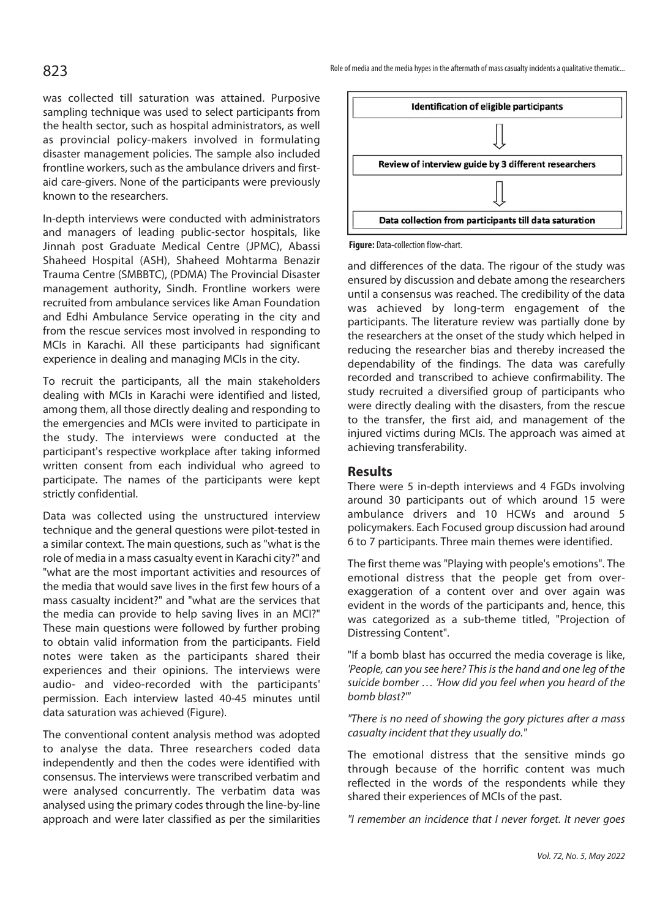was collected till saturation was attained. Purposive sampling technique was used to select participants from the health sector, such as hospital administrators, as well as provincial policy-makers involved in formulating disaster management policies. The sample also included frontline workers, such as the ambulance drivers and firstaid care-givers. None of the participants were previously known to the researchers.

In-depth interviews were conducted with administrators and managers of leading public-sector hospitals, like Jinnah post Graduate Medical Centre (JPMC), Abassi Shaheed Hospital (ASH), Shaheed Mohtarma Benazir Trauma Centre (SMBBTC), (PDMA) The Provincial Disaster management authority, Sindh. Frontline workers were recruited from ambulance services like Aman Foundation and Edhi Ambulance Service operating in the city and from the rescue services most involved in responding to MCIs in Karachi. All these participants had significant experience in dealing and managing MCIs in the city.

To recruit the participants, all the main stakeholders dealing with MCIs in Karachi were identified and listed, among them, all those directly dealing and responding to the emergencies and MCIs were invited to participate in the study. The interviews were conducted at the participant's respective workplace after taking informed written consent from each individual who agreed to participate. The names of the participants were kept strictly confidential.

Data was collected using the unstructured interview technique and the general questions were pilot-tested in a similar context. The main questions, such as "what is the role of media in a mass casualty event in Karachi city?" and "what are the most important activities and resources of the media that would save lives in the first few hours of a mass casualty incident?" and "what are the services that the media can provide to help saving lives in an MCI?" These main questions were followed by further probing to obtain valid information from the participants. Field notes were taken as the participants shared their experiences and their opinions. The interviews were audio- and video-recorded with the participants' permission. Each interview lasted 40-45 minutes until data saturation was achieved (Figure).

The conventional content analysis method was adopted to analyse the data. Three researchers coded data independently and then the codes were identified with consensus. The interviews were transcribed verbatim and were analysed concurrently. The verbatim data was analysed using the primary codes through the line-by-line approach and were later classified as per the similarities



**Figure:** Data-collection flow-chart.

and differences of the data. The rigour of the study was ensured by discussion and debate among the researchers until a consensus was reached. The credibility of the data was achieved by long-term engagement of the participants. The literature review was partially done by the researchers at the onset of the study which helped in reducing the researcher bias and thereby increased the dependability of the findings. The data was carefully recorded and transcribed to achieve confirmability. The study recruited a diversified group of participants who were directly dealing with the disasters, from the rescue to the transfer, the first aid, and management of the injured victims during MCIs. The approach was aimed at achieving transferability.

# **Results**

There were 5 in-depth interviews and 4 FGDs involving around 30 participants out of which around 15 were ambulance drivers and 10 HCWs and around 5 policymakers. Each Focused group discussion had around 6 to 7 participants. Three main themes were identified.

The first theme was "Playing with people's emotions". The emotional distress that the people get from overexaggeration of a content over and over again was evident in the words of the participants and, hence, this was categorized as a sub-theme titled, "Projection of Distressing Content".

"If a bomb blast has occurred the media coverage is like, 'People, can you see here? This is the hand and one leg of the suicide bomber … 'How did you feel when you heard of the bomb blast?'"

"There is no need of showing the gory pictures after a mass casualty incident that they usually do."

The emotional distress that the sensitive minds go through because of the horrific content was much reflected in the words of the respondents while they shared their experiences of MCIs of the past.

"I remember an incidence that I never forget. It never goes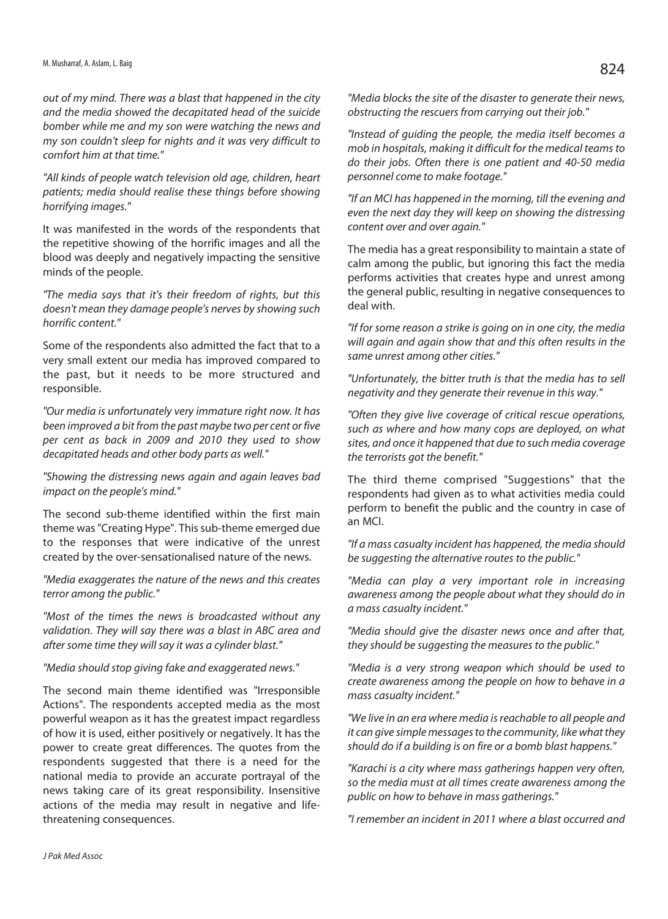out of my mind. There was a blast that happened in the city and the media showed the decapitated head of the suicide bomber while me and my son were watching the news and my son couldn't sleep for nights and it was very difficult to comfort him at that time."

"All kinds of people watch television old age, children, heart patients; media should realise these things before showing horrifying images."

It was manifested in the words of the respondents that the repetitive showing of the horrific images and all the blood was deeply and negatively impacting the sensitive minds of the people.

"The media says that it's their freedom of rights, but this doesn't mean they damage people's nerves by showing such horrific content."

Some of the respondents also admitted the fact that to a very small extent our media has improved compared to the past, but it needs to be more structured and responsible.

"Our media is unfortunately very immature right now. It has been improved a bit from the past maybe two per cent or five per cent as back in 2009 and 2010 they used to show decapitated heads and other body parts as well."

"Showing the distressing news again and again leaves bad impact on the people's mind."

The second sub-theme identified within the first main theme was "Creating Hype". This sub-theme emerged due to the responses that were indicative of the unrest created by the over-sensationalised nature of the news.

"Media exaggerates the nature of the news and this creates terror among the public."

"Most of the times the news is broadcasted without any validation. They will say there was a blast in ABC area and after some time they will say it was a cylinder blast."

#### "Media should stop giving fake and exaggerated news."

The second main theme identified was "Irresponsible Actions". The respondents accepted media as the most powerful weapon as it has the greatest impact regardless of how it is used, either positively or negatively. It has the power to create great differences. The quotes from the respondents suggested that there is a need for the national media to provide an accurate portrayal of the news taking care of its great responsibility. Insensitive actions of the media may result in negative and lifethreatening consequences.

"Media blocks the site of the disaster to generate their news, obstructing the rescuers from carrying out their job."

"Instead of guiding the people, the media itself becomes a mob in hospitals, making it difficult for the medical teams to do their jobs. Often there is one patient and 40-50 media personnel come to make footage."

"If an MCI has happened in the morning, till the evening and even the next day they will keep on showing the distressing content over and over again."

The media has a great responsibility to maintain a state of calm among the public, but ignoring this fact the media performs activities that creates hype and unrest among the general public, resulting in negative consequences to deal with.

"If for some reason a strike is going on in one city, the media will again and again show that and this often results in the same unrest among other cities."

"Unfortunately, the bitter truth is that the media has to sell negativity and they generate their revenue in this way."

"Often they give live coverage of critical rescue operations, such as where and how many cops are deployed, on what sites, and once it happened that due to such media coverage the terrorists got the benefit."

The third theme comprised "Suggestions" that the respondents had given as to what activities media could perform to benefit the public and the country in case of an MCI.

"If a mass casualty incident has happened, the media should be suggesting the alternative routes to the public."

"Media can play a very important role in increasing awareness among the people about what they should do in a mass casualty incident."

"Media should give the disaster news once and after that, they should be suggesting the measures to the public."

"Media is a very strong weapon which should be used to create awareness among the people on how to behave in a mass casualty incident."

"We live in an era where media is reachable to all people and it can give simple messages to the community, like what they should do if a building is on fire or a bomb blast happens."

"Karachi is a city where mass gatherings happen very often, so the media must at all times create awareness among the public on how to behave in mass gatherings."

"I remember an incident in 2011 where a blast occurred and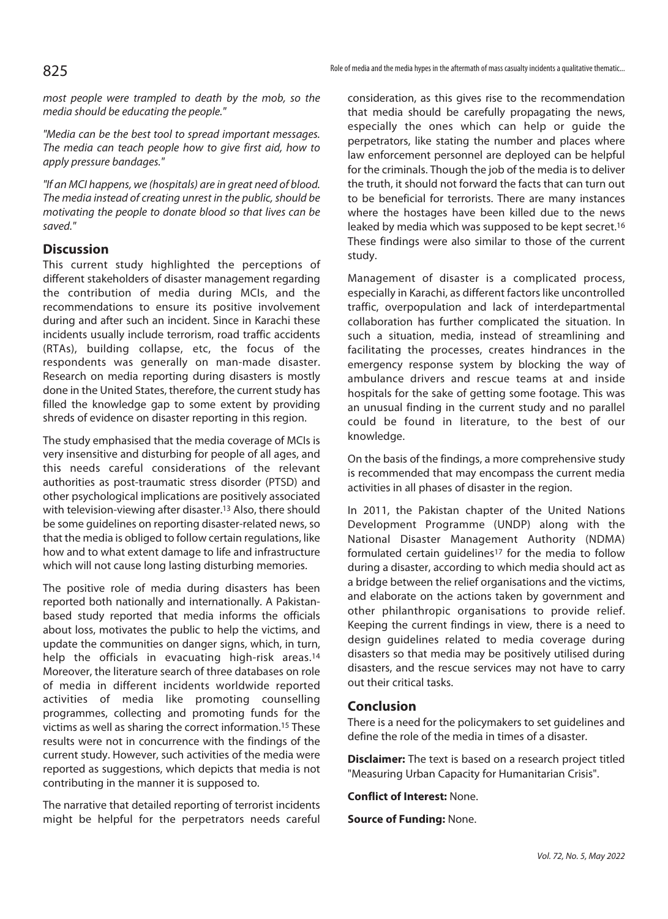most people were trampled to death by the mob, so the media should be educating the people."

"Media can be the best tool to spread important messages. The media can teach people how to give first aid, how to apply pressure bandages."

"If an MCI happens, we (hospitals) are in great need of blood. The media instead of creating unrest in the public, should be motivating the people to donate blood so that lives can be saved."

# **Discussion**

This current study highlighted the perceptions of different stakeholders of disaster management regarding the contribution of media during MCIs, and the recommendations to ensure its positive involvement during and after such an incident. Since in Karachi these incidents usually include terrorism, road traffic accidents (RTAs), building collapse, etc, the focus of the respondents was generally on man-made disaster. Research on media reporting during disasters is mostly done in the United States, therefore, the current study has filled the knowledge gap to some extent by providing shreds of evidence on disaster reporting in this region.

The study emphasised that the media coverage of MCIs is very insensitive and disturbing for people of all ages, and this needs careful considerations of the relevant authorities as post-traumatic stress disorder (PTSD) and other psychological implications are positively associated with television-viewing after disaster.13 Also, there should be some guidelines on reporting disaster-related news, so that the media is obliged to follow certain regulations, like how and to what extent damage to life and infrastructure which will not cause long lasting disturbing memories.

The positive role of media during disasters has been reported both nationally and internationally. A Pakistanbased study reported that media informs the officials about loss, motivates the public to help the victims, and update the communities on danger signs, which, in turn, help the officials in evacuating high-risk areas.14 Moreover, the literature search of three databases on role of media in different incidents worldwide reported activities of media like promoting counselling programmes, collecting and promoting funds for the victims as well as sharing the correct information.15 These results were not in concurrence with the findings of the current study. However, such activities of the media were reported as suggestions, which depicts that media is not contributing in the manner it is supposed to.

The narrative that detailed reporting of terrorist incidents might be helpful for the perpetrators needs careful

consideration, as this gives rise to the recommendation that media should be carefully propagating the news, especially the ones which can help or guide the perpetrators, like stating the number and places where law enforcement personnel are deployed can be helpful for the criminals. Though the job of the media is to deliver the truth, it should not forward the facts that can turn out to be beneficial for terrorists. There are many instances where the hostages have been killed due to the news leaked by media which was supposed to be kept secret.16 These findings were also similar to those of the current study.

Management of disaster is a complicated process, especially in Karachi, as different factors like uncontrolled traffic, overpopulation and lack of interdepartmental collaboration has further complicated the situation. In such a situation, media, instead of streamlining and facilitating the processes, creates hindrances in the emergency response system by blocking the way of ambulance drivers and rescue teams at and inside hospitals for the sake of getting some footage. This was an unusual finding in the current study and no parallel could be found in literature, to the best of our knowledge.

On the basis of the findings, a more comprehensive study is recommended that may encompass the current media activities in all phases of disaster in the region.

In 2011, the Pakistan chapter of the United Nations Development Programme (UNDP) along with the National Disaster Management Authority (NDMA) formulated certain guidelines<sup>17</sup> for the media to follow during a disaster, according to which media should act as a bridge between the relief organisations and the victims, and elaborate on the actions taken by government and other philanthropic organisations to provide relief. Keeping the current findings in view, there is a need to design guidelines related to media coverage during disasters so that media may be positively utilised during disasters, and the rescue services may not have to carry out their critical tasks.

#### **Conclusion**

There is a need for the policymakers to set guidelines and define the role of the media in times of a disaster.

**Disclaimer:** The text is based on a research project titled "Measuring Urban Capacity for Humanitarian Crisis".

**Conflict of Interest:** None.

**Source of Funding:** None.